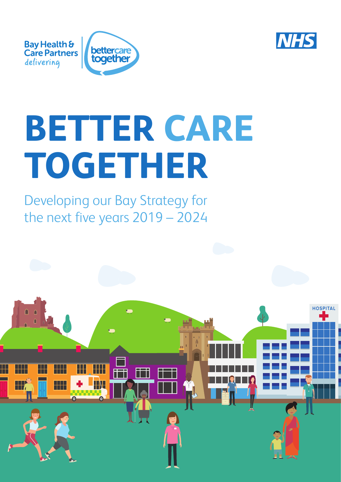



# **BETTER CARE TOGETHER**

Developing our Bay Strategy for the next five years 2019 – 2024

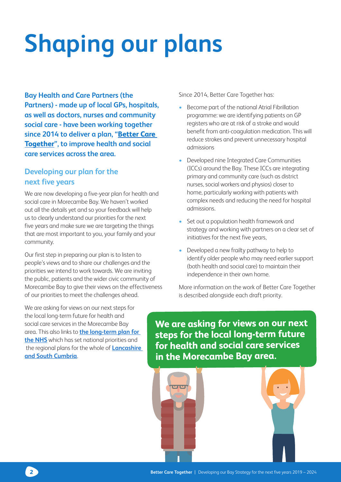# **Shaping our plans**

**Bay Health and Care Partners (the Partners) - made up of local GPs, hospitals, as well as doctors, nurses and community social care - have been working together since 2014 to deliver a plan, "[Better Care](https://www.morecambebayccg.nhs.uk/get-involved/better-care-together)  [Together](https://www.morecambebayccg.nhs.uk/get-involved/better-care-together)", to improve health and social care services across the area.** 

# **Developing our plan for the next five years**

We are now developing a five-year plan for health and social care in Morecambe Bay. We haven't worked out all the details yet and so your feedback will help us to clearly understand our priorities for the next five years and make sure we are targeting the things that are most important to you, your family and your community.

Our first step in preparing our plan is to listen to people's views and to share our challenges and the priorities we intend to work towards. We are inviting the public, patients and the wider civic community of Morecambe Bay to give their views on the effectiveness of our priorities to meet the challenges ahead.

Since 2014, Better Care Together has:

- Become part of the national Atrial Fibrillation programme: we are identifying patients on GP registers who are at risk of a stroke and would benefit from anti-coagulation medication. This will reduce strokes and prevent unnecessary hospital admissions
- Developed nine Integrated Care Communities (ICCs) around the Bay. These ICCs are integrating primary and community care (such as district nurses, social workers and physios) closer to home, particularly working with patients with complex needs and reducing the need for hospital admissions.
- Set out a population health framework and strategy and working with partners on a clear set of initiatives for the next five years,
- Developed a new frailty pathway to help to identify older people who may need earlier support (both health and social care) to maintain their independence in their own home.

More information on the work of Better Care Together is described alongside each draft priority.

We are asking for views on our next steps for the local long-term future for health and social care services in the Morecambe Bay area. This also links to **[the long-term plan for](https://www.longtermplan.nhs.uk/)  [the NHS](https://www.longtermplan.nhs.uk/)** which has set national priorities and the regional plans for the whole of **[Lancashire](https://www.healthierlsc.co.uk/about/ics)  [and South Cumbria](https://www.healthierlsc.co.uk/about/ics)**.

**We are asking for views on our next steps for the local long-term future for health and social care services in the Morecambe Bay area.**



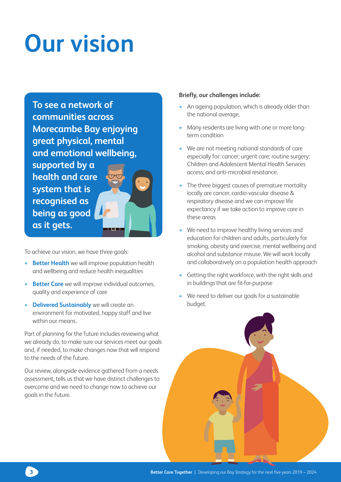# **Our vision**

**To see a network of communities across Morecambe Bay enjoying great physical, mental and emotional wellbeing, supported by a health and care system that is recognised as being as good as it gets.**

To achieve our vision, we have three goals:

- **• Better Health** we will improve population health and wellbeing and reduce health inequalities
- **• Better Care** we will improve individual outcomes, quality and experience of care
- **• Delivered Sustainably** we will create an environment for motivated, happy staff and live within our means.

Part of planning for the future includes reviewing what we already do, to make sure our services meet our goals and, if needed, to make changes now that will respond to the needs of the future.

Our review, alongside evidence gathered from a needs assessment, tells us that we have distinct challenges to overcome and we need to change now to achieve our goals in the future.

#### **Briefly, our challenges include:**

- An ageing population, which is already older than the national average,
- Many residents are living with one or more longterm condition
- We are not meeting national standards of care especially for: cancer; urgent care; routine surgery; Children and Adolescent Mental Health Services access; and anti-microbial resistance.
- The three biggest causes of premature mortality locally are cancer, cardio-vascular disease & respiratory disease and we can improve life expectancy if we take action to improve care in these areas
- We need to improve healthy living services and education for children and adults, particularly for smoking, obesity and exercise, mental wellbeing and alcohol and substance misuse. We will work locally and collaboratively on a population health approach
- Getting the right workforce, with the right skills and in buildings that are fit-for-purpose
- We need to deliver our goals for a sustainable budget.

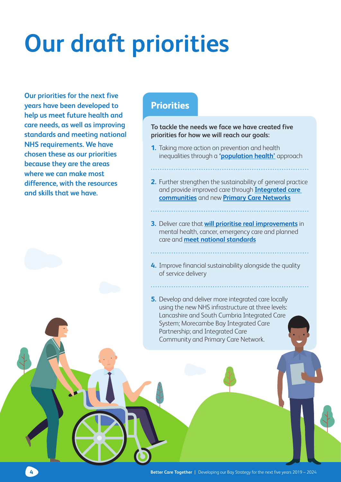# **Our draft priorities**

**Our priorities for the next five years have been developed to help us meet future health and care needs, as well as improving standards and meeting national NHS requirements. We have chosen these as our priorities because they are the areas where we can make most difference, with the resources and skills that we have.** 

# **Priorities**

**To tackle the needs we face we have created five priorities for how we will reach our goals:** 

- **1.** Taking more action on prevention and health inequalities through a **['population health'](https://www.morecambebayccg.nhs.uk/get-involved/population-health)** approach
- **2.** Further strengthen the sustainability of general practice and provide improved care through **[Integrated care](http://www.bettercaretogether.co.uk/page.aspx?PID=18&ID=19)  [communities](http://www.bettercaretogether.co.uk/page.aspx?PID=18&ID=19)** and new **[Primary Care Networks](https://www.england.nhs.uk/primary-care/primary-care-networks/)**
- **3.** Deliver care that **[will prioritise real improvements](https://www.longtermplan.nhs.uk/wp-content/uploads/2019/01/the-nhs-long-term-plan-summary.pdf)** in mental health, cancer, emergency care and planned care and **[meet national standards](https://www.longtermplan.nhs.uk/wp-content/uploads/2019/01/nhs-long-term-plan-june-2019.pdf)**
- **4.** Improve financial sustainability alongside the quality of service delivery
- **5.** Develop and deliver more integrated care locally using the new NHS infrastructure at three levels: Lancashire and South Cumbria Integrated Care System; Morecambe Bay Integrated Care Partnership; and Integrated Care Community and Primary Care Network.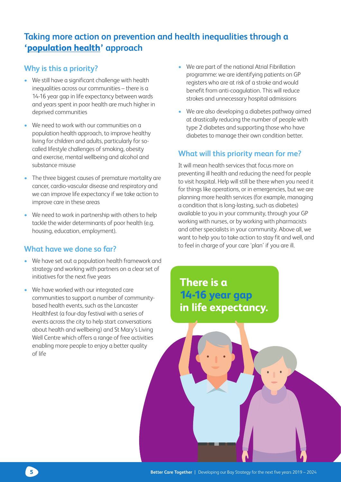# **Taking more action on prevention and health inequalities through a '[population health'](https://www.morecambebayccg.nhs.uk/get-involved/population-health) approach**

### **Why is this a priority?**

- We still have a significant challenge with health inequalities across our communities – there is a 14-16 year gap in life expectancy between wards and years spent in poor health are much higher in deprived communities
- We need to work with our communities on a population health approach, to improve healthy living for children and adults, particularly for socalled lifestyle challenges of smoking, obesity and exercise, mental wellbeing and alcohol and substance misuse
- The three biggest causes of premature mortality are cancer, cardio-vascular disease and respiratory and we can improve life expectancy if we take action to improve care in these areas
- We need to work in partnership with others to help tackle the wider determinants of poor health (e.g. housing, education, employment).

#### **What have we done so far?**

- We have set out a population health framework and strategy and working with partners on a clear set of initiatives for the next five years
- We have worked with our integrated care communities to support a number of communitybased health events, such as the Lancaster Healthfest (a four-day festival with a series of events across the city to help start conversations about health and wellbeing) and St Mary's Living Well Centre which offers a range of free activities enabling more people to enjoy a better quality of life
- We are part of the national Atrial Fibrillation programme: we are identifying patients on GP registers who are at risk of a stroke and would benefit from anti-coagulation. This will reduce strokes and unnecessary hospital admissions
- We are also developing a diabetes pathway aimed at drastically reducing the number of people with type 2 diabetes and supporting those who have diabetes to manage their own condition better.

# **What will this priority mean for me?**

It will mean health services that focus more on preventing ill health and reducing the need for people to visit hospital. Help will still be there when you need it for things like operations, or in emergencies, but we are planning more health services (for example, managing a condition that is long-lasting, such as diabetes) available to you in your community, through your GP working with nurses, or by working with pharmacists and other specialists in your community. Above all, we want to help you to take action to stay fit and well, and to feel in charge of your care 'plan' if you are ill.

**There is a 14-16 year gap in life expectancy.**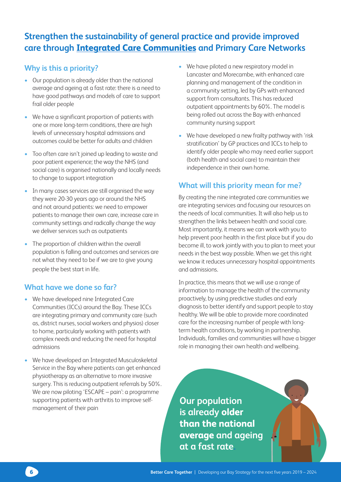# **Strengthen the sustainability of general practice and provide improved care through [Integrated Care Communities](http://www.bettercaretogether.co.uk/page.aspx?PID=18&ID=19) and Primary Care Networks**

# **Why is this a priority?**

- Our population is already older than the national average and ageing at a fast rate: there is a need to have good pathways and models of care to support frail older people
- We have a significant proportion of patients with one or more long-term conditions, there are high levels of unnecessary hospital admissions and outcomes could be better for adults and children
- Too often care isn't joined up leading to waste and poor patient experience; the way the NHS (and social care) is organised nationally and locally needs to change to support integration
- In many cases services are still organised the way they were 20-30 years ago or around the NHS and not around patients: we need to empower patients to manage their own care, increase care in community settings and radically change the way we deliver services such as outpatients
- The proportion of children within the overall population is falling and outcomes and services are not what they need to be if we are to give young people the best start in life.

#### **What have we done so far?**

- We have developed nine Integrated Care Communities (ICCs) around the Bay. These ICCs are integrating primary and community care (such as, district nurses, social workers and physios) closer to home, particularly working with patients with complex needs and reducing the need for hospital admissions
- We have developed an Integrated Musculoskeletal Service in the Bay where patients can get enhanced physiotherapy as an alternative to more invasive surgery. This is reducing outpatient referrals by 50%. We are now piloting 'ESCAPE – pain': a programme supporting patients with arthritis to improve selfmanagement of their pain
- We have piloted a new respiratory model in Lancaster and Morecambe, with enhanced care planning and management of the condition in a community setting, led by GPs with enhanced support from consultants. This has reduced outpatient appointments by 60%. The model is being rolled out across the Bay with enhanced community nursing support
- We have developed a new frailty pathway with 'risk stratification' by GP practices and ICCs to help to identify older people who may need earlier support (both health and social care) to maintain their independence in their own home.

# **What will this priority mean for me?**

By creating the nine integrated care communities we are integrating services and focusing our resources on the needs of local communities. It will also help us to strengthen the links between health and social care. Most importantly, it means we can work with you to help prevent poor health in the first place but if you do become ill, to work jointly with you to plan to meet your needs in the best way possible. When we get this right we know it reduces unnecessary hospital appointments and admissions.

In practice, this means that we will use a range of information to manage the health of the community proactively, by using predictive studies and early diagnosis to better identify and support people to stay healthy. We will be able to provide more coordinated care for the increasing number of people with longterm health conditions, by working in partnership. Individuals, families and communities will have a bigger role in managing their own health and wellbeing.

**Our population is already older than the national average and ageing at a fast rate.**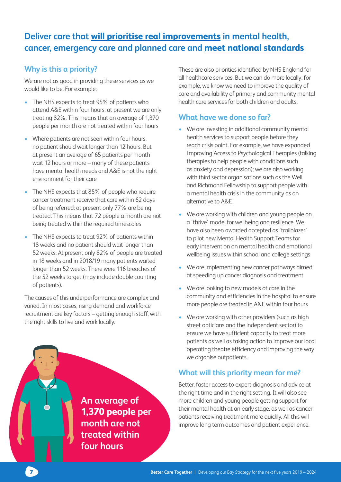# **Deliver care that [will prioritise real improvements](https://www.longtermplan.nhs.uk/wp-content/uploads/2019/01/the-nhs-long-term-plan-summary.pdf) in mental health, cancer, emergency care and planned care and [meet national standards](https://www.longtermplan.nhs.uk/wp-content/uploads/2019/01/nhs-long-term-plan-june-2019.pdf)**

# **Why is this a priority?**

We are not as good in providing these services as we would like to be. For example:

- The NHS expects to treat 95% of patients who attend A&E within four hours: at present we are only treating 82%. This means that an average of 1,370 people per month are not treated within four hours
- Where patients are not seen within four hours, no patient should wait longer than 12 hours. But at present an average of 65 patients per month wait 12 hours or more – many of these patients have mental health needs and A&E is not the right environment for their care
- The NHS expects that 85% of people who require cancer treatment receive that care within 62 days of being referred: at present only 77% are being treated. This means that 72 people a month are not being treated within the required timescales
- The NHS expects to treat 92% of patients within 18 weeks and no patient should wait longer than 52 weeks. At present only 82% of people are treated in 18 weeks and in 2018/19 many patients waited longer than 52 weeks. There were 116 breaches of the 52 weeks target (may include double counting of patients).

The causes of this underperformance are complex and varied. In most cases, rising demand and workforce recruitment are key factors – getting enough staff, with the right skills to live and work locally.

> **An average of 1,370 people per month are not treated within four hours**

These are also priorities identified by NHS England for all healthcare services. But we can do more locally: for example, we know we need to improve the quality of care and availability of primary and community mental health care services for both children and adults.

### **What have we done so far?**

- We are investing in additional community mental health services to support people before they reach crisis point. For example, we have expanded Improving Access to Psychological Therapies (talking therapies to help people with conditions such as anxiety and depression); we are also working with third sector organisations such as the Well and Richmond Fellowship to support people with a mental health crisis in the community as an alternative to A&E
- We are working with children and young people on a 'thrive' model for wellbeing and resilience. We have also been awarded accepted as 'trailblazer' to pilot new Mental Health Support Teams for early intervention on mental health and emotional wellbeing issues within school and college settings
- We are implementing new cancer pathways aimed at speeding up cancer diagnosis and treatment
- We are looking to new models of care in the community and efficiencies in the hospital to ensure more people are treated in A&E within four hours
- We are working with other providers (such as high street opticians and the independent sector) to ensure we have sufficient capacity to treat more patients as well as taking action to improve our local operating theatre efficiency and improving the way we organise outpatients.

# **What will this priority mean for me?**

Better, faster access to expert diagnosis and advice at the right time and in the right setting. It will also see more children and young people getting support for their mental health at an early stage, as well as cancer patients receiving treatment more quickly. All this will improve long term outcomes and patient experience.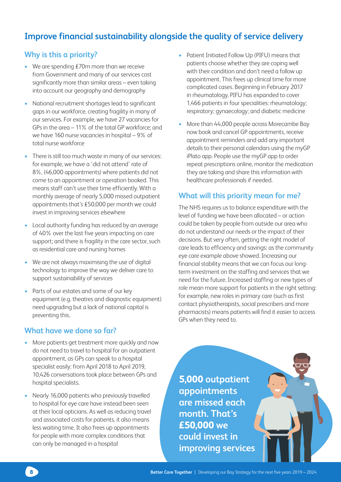# **Improve financial sustainability alongside the quality of service delivery**

#### **Why is this a priority?**

- We are spending £70m more than we receive from Government and many of our services cost significantly more than similar areas – even taking into account our geography and demography
- National recruitment shortages lead to significant gaps in our workforce, creating fragility in many of our services. For example, we have 27 vacancies for GPs in the area – 11% of the total GP workforce; and we have 160 nurse vacancies in hospital – 9% of total nurse workforce
- There is still too much waste in many of our services: for example, we have a 'did not attend' rate of 8%, (46,000 appointments) where patients did not come to an appointment or operation booked. This means staff can't use their time efficiently. With a monthly average of nearly 5,000 missed outpatient appointments that's £50,000 per month we could invest in improving services elsewhere
- Local authority funding has reduced by an average of 40% over the last five years impacting on care support; and there is fragility in the care sector, such as residential care and nursing homes
- We are not always maximising the use of digital technology to improve the way we deliver care to support sustainability of services
- Parts of our estates and some of our key equipment (e.g. theatres and diagnostic equipment) need upgrading but a lack of national capital is preventing this.

#### **What have we done so far?**

- More patients get treatment more quickly and now do not need to travel to hospital for an outpatient appointment, as GPs can speak to a hospital specialist easily: from April 2018 to April 2019, 10,426 conversations took place between GPs and hospital specialists.
- Nearly 16,000 patients who previously travelled to hospital for eye care have instead been seen at their local opticians. As well as reducing travel and associated costs for patients, it also means less waiting time. It also frees up appointments for people with more complex conditions that can only be managed in a hospital
- Patient Initiated Follow Up (PIFU) means that patients choose whether they are coping well with their condition and don't need a follow up appointment. This frees up clinical time for more complicated cases. Beginning in February 2017 in rheumatology, PIFU has expanded to cover 1,466 patients in four specialities: rheumatology; respiratory; gynaecology; and diabetic medicine
- More than 44,000 people across Morecambe Bay now book and cancel GP appointments, receive appointment reminders and add any important details to their personal calendars using the myGP iPlato app. People use the myGP app to order repeat prescriptions online, monitor the medication they are taking and share this information with healthcare professionals if needed.

#### **What will this priority mean for me?**

The NHS requires us to balance expenditure with the level of funding we have been allocated – or action could be taken by people from outside our area who do not understand our needs or the impact of their decisions. But very often, getting the right model of care leads to efficiency and savings: as the community eye care example above showed. Increasing our financial stability means that we can focus our longterm investment on the staffing and services that we need for the future. Increased staffing or new types of role mean more support for patients in the right setting: for example, new roles in primary care (such as first contact physiotherapists, social prescribers and more pharmacists) means patients will find it easier to access GPs when they need to.

**5,000 outpatient appointments are missed each month. That's £50,000 we could invest in improving services**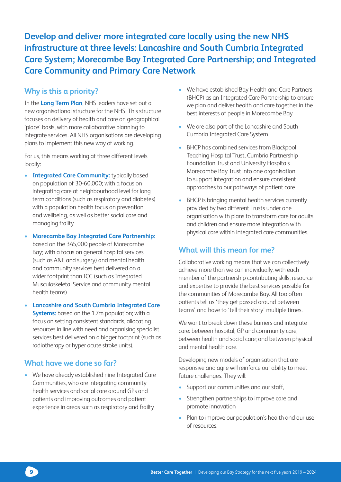**Develop and deliver more integrated care locally using the new NHS infrastructure at three levels: Lancashire and South Cumbria Integrated Care System; Morecambe Bay Integrated Care Partnership; and Integrated Care Community and Primary Care Network**

### **Why is this a priority?**

In the **[Long Term Plan](https://www.longtermplan.nhs.uk/)**, NHS leaders have set out a new organisational structure for the NHS. This structure focuses on delivery of health and care on geographical 'place' basis, with more collaborative planning to integrate services. All NHS organisations are developing plans to implement this new way of working.

For us, this means working at three different levels locally:

- **• Integrated Care Community:** typically based on population of 30-60,000; with a focus on integrating care at neighbourhood level for long term conditions (such as respiratory and diabetes) with a population health focus on prevention and wellbeing, as well as better social care and managing frailty
- **• Morecambe Bay Integrated Care Partnership:** based on the 345,000 people of Morecambe Bay; with a focus on general hospital services (such as A&E and surgery) and mental health and community services best delivered on a wider footprint than ICC (such as Integrated Musculoskeletal Service and community mental health teams)
- **• Lancashire and South Cumbria Integrated Care Systems:** based on the 1.7m population; with a focus on setting consistent standards, allocating resources in line with need and organising specialist services best delivered on a bigger footprint (such as radiotherapy or hyper acute stroke units).

#### **What have we done so far?**

• We have already established nine Integrated Care Communities, who are integrating community health services and social care around GPs and patients and improving outcomes and patient experience in areas such as respiratory and frailty

- We have established Bay Health and Care Partners (BHCP) as an Integrated Care Partnership to ensure we plan and deliver health and care together in the best interests of people in Morecambe Bay
- We are also part of the Lancashire and South Cumbria Integrated Care System
- BHCP has combined services from Blackpool Teaching Hospital Trust, Cumbria Partnership Foundation Trust and University Hospitals Morecambe Bay Trust into one organisation to support integration and ensure consistent approaches to our pathways of patient care
- BHCP is bringing mental health services currently provided by two different Trusts under one organisation with plans to transform care for adults and children and ensure more integration with physical care within integrated care communities.

# **What will this mean for me?**

Collaborative working means that we can collectively achieve more than we can individually, with each member of the partnership contributing skills, resource and expertise to provide the best services possible for the communities of Morecambe Bay. All too often patients tell us 'they get passed around between teams' and have to 'tell their story' multiple times.

We want to break down these barriers and integrate care: between hospital, GP and community care; between health and social care; and between physical and mental health care.

Developing new models of organisation that are responsive and agile will reinforce our ability to meet future challenges. They will:

- Support our communities and our staff,
- Strengthen partnerships to improve care and promote innovation
- Plan to improve our population's health and our use of resources.